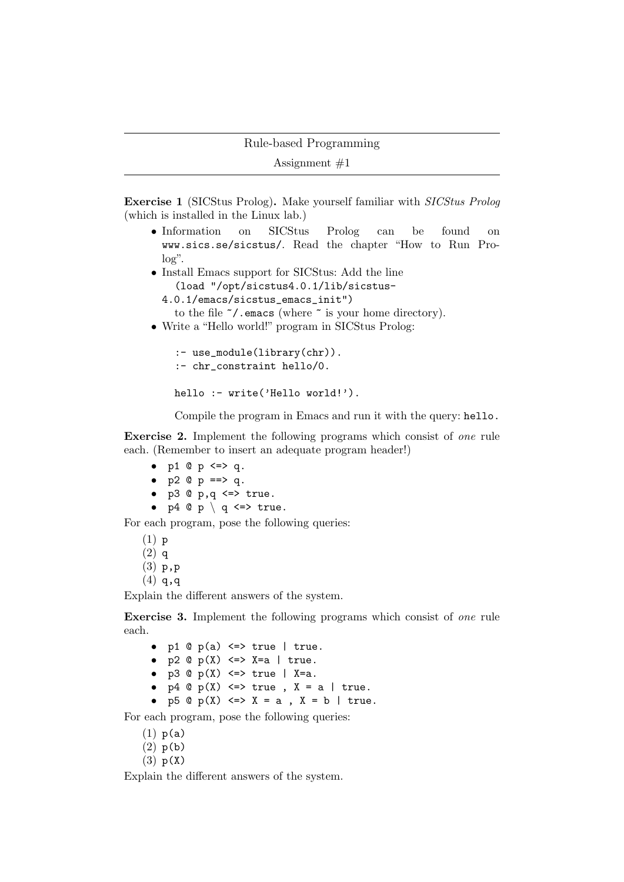```
Assignment #1
```
Exercise 1 (SICStus Prolog). Make yourself familiar with SICStus Prolog (which is installed in the Linux lab.)

- Information on SICStus Prolog can be found on www.sics.se/sicstus/. Read the chapter "How to Run Pro $log"$ .
- Install Emacs support for SICStus: Add the line (load "/opt/sicstus4.0.1/lib/sicstus-
	- 4.0.1/emacs/sicstus\_emacs\_init")
	- to the file  $\tilde{\phantom{a}}$ . emacs (where  $\tilde{\phantom{a}}$  is your home directory).
- Write a "Hello world!" program in SICStus Prolog:

```
:- use_module(library(chr)).
:- chr_constraint hello/0.
```

```
hello :- write('Hello world!').
```
Compile the program in Emacs and run it with the query: hello.

Exercise 2. Implement the following programs which consist of one rule each. (Remember to insert an adequate program header!)

- $p1 \otimes p \iff q$ .
- $p2 @ p \implies q.$
- $p3 @ p,q \iff true.$
- $p4 \oplus p \setminus q \iff true.$

For each program, pose the following queries:

(1) p (2) q (3) p,p  $(4)$  q,q

Explain the different answers of the system.

Exercise 3. Implement the following programs which consist of one rule each.

|  | • p1 $\mathbb{Q}$ p(a) $\leq$ > true   true.   |  |
|--|------------------------------------------------|--|
|  | • $p2 \oplus p(X) \iff X=a$   true.            |  |
|  | • $p3 \circ p(X) \iff true \mid X=a.$          |  |
|  | • $p4 \oplus p(X) \iff true, X = a \mid true.$ |  |
|  | • $p5 @ p(X) \iff X = a$ , $X = b$   true.     |  |

For each program, pose the following queries:

- $(1)$   $p(a)$
- $(2)$  p(b)
- $(3)$   $p(X)$

Explain the different answers of the system.